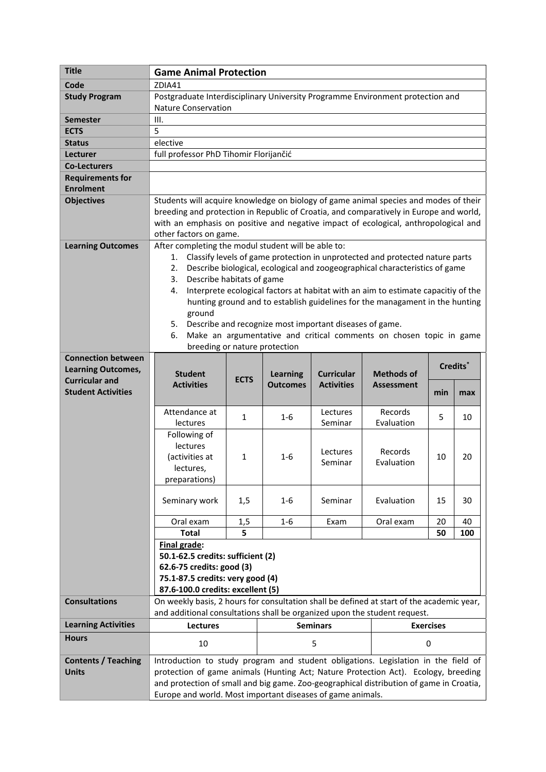| <b>Title</b>                                           | <b>Game Animal Protection</b>                                                                                                                                                                                                                                                                                                                                                                                                                                                                                                                                                                                                         |             |                 |                     |                       |                      |     |  |
|--------------------------------------------------------|---------------------------------------------------------------------------------------------------------------------------------------------------------------------------------------------------------------------------------------------------------------------------------------------------------------------------------------------------------------------------------------------------------------------------------------------------------------------------------------------------------------------------------------------------------------------------------------------------------------------------------------|-------------|-----------------|---------------------|-----------------------|----------------------|-----|--|
| Code                                                   | ZDIA41                                                                                                                                                                                                                                                                                                                                                                                                                                                                                                                                                                                                                                |             |                 |                     |                       |                      |     |  |
| <b>Study Program</b>                                   | Postgraduate Interdisciplinary University Programme Environment protection and<br><b>Nature Conservation</b>                                                                                                                                                                                                                                                                                                                                                                                                                                                                                                                          |             |                 |                     |                       |                      |     |  |
| <b>Semester</b>                                        | III.                                                                                                                                                                                                                                                                                                                                                                                                                                                                                                                                                                                                                                  |             |                 |                     |                       |                      |     |  |
| <b>ECTS</b>                                            | 5                                                                                                                                                                                                                                                                                                                                                                                                                                                                                                                                                                                                                                     |             |                 |                     |                       |                      |     |  |
| <b>Status</b>                                          | elective                                                                                                                                                                                                                                                                                                                                                                                                                                                                                                                                                                                                                              |             |                 |                     |                       |                      |     |  |
| Lecturer                                               | full professor PhD Tihomir Florijančić                                                                                                                                                                                                                                                                                                                                                                                                                                                                                                                                                                                                |             |                 |                     |                       |                      |     |  |
| <b>Co-Lecturers</b>                                    |                                                                                                                                                                                                                                                                                                                                                                                                                                                                                                                                                                                                                                       |             |                 |                     |                       |                      |     |  |
| <b>Requirements for</b>                                |                                                                                                                                                                                                                                                                                                                                                                                                                                                                                                                                                                                                                                       |             |                 |                     |                       |                      |     |  |
| <b>Enrolment</b>                                       |                                                                                                                                                                                                                                                                                                                                                                                                                                                                                                                                                                                                                                       |             |                 |                     |                       |                      |     |  |
| <b>Objectives</b>                                      | Students will acquire knowledge on biology of game animal species and modes of their<br>breeding and protection in Republic of Croatia, and comparatively in Europe and world,<br>with an emphasis on positive and negative impact of ecological, anthropological and<br>other factors on game.                                                                                                                                                                                                                                                                                                                                       |             |                 |                     |                       |                      |     |  |
| <b>Learning Outcomes</b>                               | After completing the modul student will be able to:<br>Classify levels of game protection in unprotected and protected nature parts<br>1.<br>Describe biological, ecological and zoogeographical characteristics of game<br>2.<br>Describe habitats of game<br>3.<br>Interprete ecological factors at habitat with an aim to estimate capacitiy of the<br>4.<br>hunting ground and to establish guidelines for the managament in the hunting<br>ground<br>Describe and recognize most important diseases of game.<br>5.<br>Make an argumentative and critical comments on chosen topic in game<br>6.<br>breeding or nature protection |             |                 |                     |                       |                      |     |  |
| <b>Connection between</b><br><b>Learning Outcomes,</b> | <b>Student</b><br><b>Curricular</b><br><b>Methods of</b><br><b>Learning</b>                                                                                                                                                                                                                                                                                                                                                                                                                                                                                                                                                           |             |                 |                     |                       | Credits <sup>*</sup> |     |  |
| <b>Curricular and</b><br><b>Student Activities</b>     | <b>Activities</b>                                                                                                                                                                                                                                                                                                                                                                                                                                                                                                                                                                                                                     | <b>ECTS</b> | <b>Outcomes</b> | <b>Activities</b>   | <b>Assessment</b>     | min                  | max |  |
|                                                        | Attendance at<br>lectures                                                                                                                                                                                                                                                                                                                                                                                                                                                                                                                                                                                                             | 1           | $1-6$           | Lectures<br>Seminar | Records<br>Evaluation | 5                    | 10  |  |
|                                                        | Following of<br>lectures<br>(activities at<br>lectures,<br>preparations)                                                                                                                                                                                                                                                                                                                                                                                                                                                                                                                                                              | 1           | 1-6             | Lectures<br>Seminar | Records<br>Evaluation | 10                   | 20  |  |
|                                                        | Seminary work                                                                                                                                                                                                                                                                                                                                                                                                                                                                                                                                                                                                                         | 1,5         | 1-6             | Seminar             | Evaluation            | 15                   | 30  |  |
|                                                        | Oral exam                                                                                                                                                                                                                                                                                                                                                                                                                                                                                                                                                                                                                             | 1,5         | $1 - 6$         | Exam                | Oral exam             | 20                   | 40  |  |
|                                                        | <b>Total</b>                                                                                                                                                                                                                                                                                                                                                                                                                                                                                                                                                                                                                          | 5           |                 |                     |                       | 50                   | 100 |  |
|                                                        | Final grade:<br>50.1-62.5 credits: sufficient (2)<br>62.6-75 credits: good (3)<br>75.1-87.5 credits: very good (4)<br>87.6-100.0 credits: excellent (5)                                                                                                                                                                                                                                                                                                                                                                                                                                                                               |             |                 |                     |                       |                      |     |  |
| <b>Consultations</b>                                   | On weekly basis, 2 hours for consultation shall be defined at start of the academic year,<br>and additional consultations shall be organized upon the student request.                                                                                                                                                                                                                                                                                                                                                                                                                                                                |             |                 |                     |                       |                      |     |  |
| <b>Learning Activities</b>                             | <b>Lectures</b>                                                                                                                                                                                                                                                                                                                                                                                                                                                                                                                                                                                                                       |             | <b>Seminars</b> |                     |                       | <b>Exercises</b>     |     |  |
| <b>Hours</b>                                           | 10                                                                                                                                                                                                                                                                                                                                                                                                                                                                                                                                                                                                                                    |             | 5               |                     |                       | 0                    |     |  |
| <b>Contents / Teaching</b><br><b>Units</b>             | Introduction to study program and student obligations. Legislation in the field of<br>protection of game animals (Hunting Act; Nature Protection Act). Ecology, breeding<br>and protection of small and big game. Zoo-geographical distribution of game in Croatia,<br>Europe and world. Most important diseases of game animals.                                                                                                                                                                                                                                                                                                     |             |                 |                     |                       |                      |     |  |